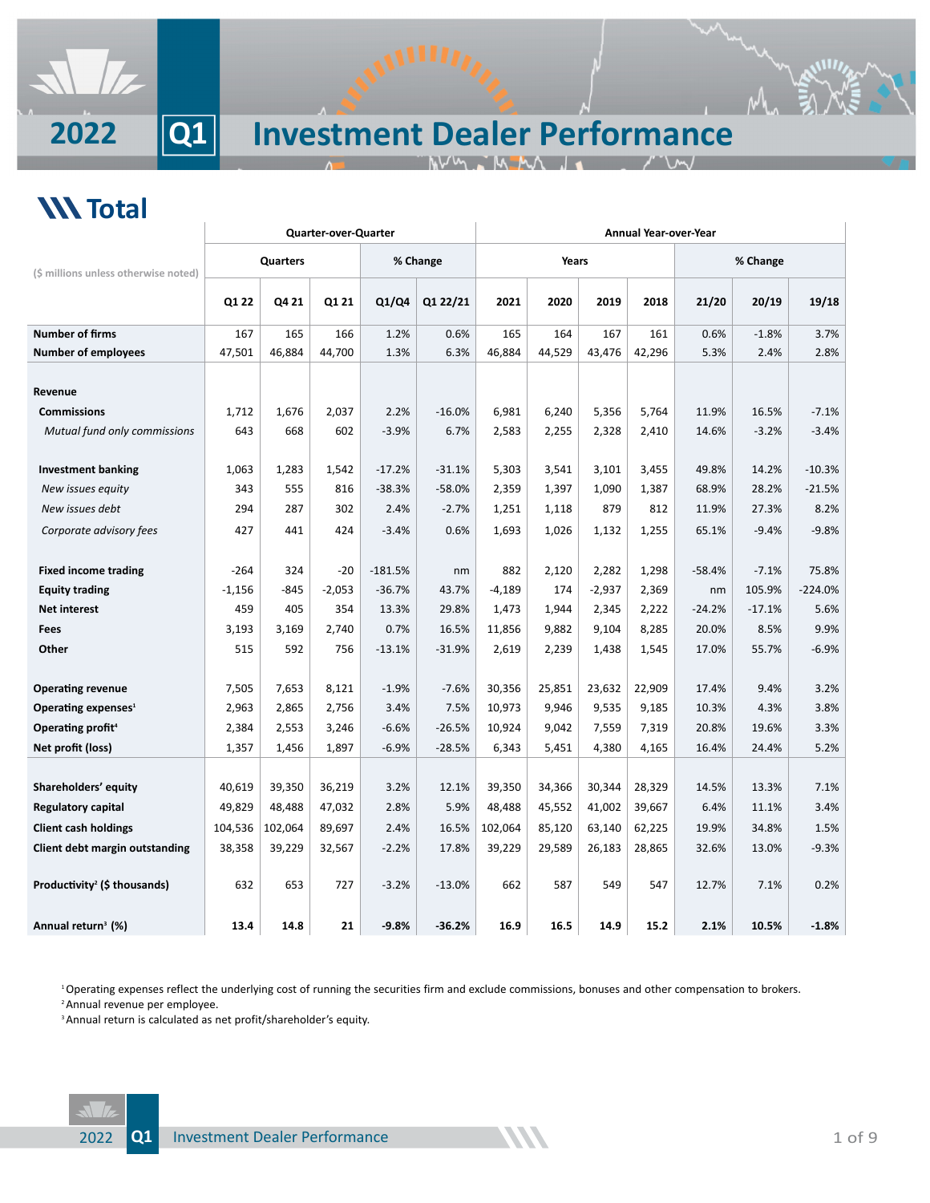

## *<u>W* Total</u>

|                                          |          |          | <b>Quarter-over-Quarter</b> |           |          | Annual Year-over-Year |        |          |        |          |          |           |  |
|------------------------------------------|----------|----------|-----------------------------|-----------|----------|-----------------------|--------|----------|--------|----------|----------|-----------|--|
| (\$ millions unless otherwise noted)     |          | Quarters |                             |           | % Change |                       | Years  |          |        | % Change |          |           |  |
|                                          | Q1 22    | Q4 21    | Q1 21                       | Q1/Q4     | Q1 22/21 | 2021                  | 2020   | 2019     | 2018   | 21/20    | 20/19    | 19/18     |  |
| <b>Number of firms</b>                   | 167      | 165      | 166                         | 1.2%      | 0.6%     | 165                   | 164    | 167      | 161    | 0.6%     | $-1.8%$  | 3.7%      |  |
| <b>Number of employees</b>               | 47,501   | 46,884   | 44,700                      | 1.3%      | 6.3%     | 46,884                | 44,529 | 43,476   | 42,296 | 5.3%     | 2.4%     | 2.8%      |  |
|                                          |          |          |                             |           |          |                       |        |          |        |          |          |           |  |
| Revenue                                  |          |          |                             |           |          |                       |        |          |        |          |          |           |  |
| <b>Commissions</b>                       | 1,712    | 1,676    | 2,037                       | 2.2%      | $-16.0%$ | 6,981                 | 6,240  | 5,356    | 5,764  | 11.9%    | 16.5%    | $-7.1%$   |  |
| Mutual fund only commissions             | 643      | 668      | 602                         | $-3.9%$   | 6.7%     | 2,583                 | 2,255  | 2,328    | 2,410  | 14.6%    | $-3.2%$  | $-3.4%$   |  |
|                                          |          |          |                             |           |          |                       |        |          |        |          |          |           |  |
| <b>Investment banking</b>                | 1,063    | 1,283    | 1,542                       | $-17.2%$  | $-31.1%$ | 5,303                 | 3,541  | 3,101    | 3,455  | 49.8%    | 14.2%    | $-10.3%$  |  |
| New issues equity                        | 343      | 555      | 816                         | $-38.3%$  | $-58.0%$ | 2,359                 | 1,397  | 1,090    | 1,387  | 68.9%    | 28.2%    | $-21.5%$  |  |
| New issues debt                          | 294      | 287      | 302                         | 2.4%      | $-2.7%$  | 1,251                 | 1,118  | 879      | 812    | 11.9%    | 27.3%    | 8.2%      |  |
| Corporate advisory fees                  | 427      | 441      | 424                         | $-3.4%$   | 0.6%     | 1,693                 | 1,026  | 1,132    | 1,255  | 65.1%    | $-9.4%$  | $-9.8%$   |  |
|                                          |          |          |                             |           |          |                       |        |          |        |          |          |           |  |
| <b>Fixed income trading</b>              | $-264$   | 324      | $-20$                       | $-181.5%$ | nm       | 882                   | 2,120  | 2,282    | 1,298  | $-58.4%$ | $-7.1%$  | 75.8%     |  |
| <b>Equity trading</b>                    | $-1,156$ | $-845$   | $-2,053$                    | $-36.7%$  | 43.7%    | $-4,189$              | 174    | $-2,937$ | 2,369  | nm       | 105.9%   | $-224.0%$ |  |
| <b>Net interest</b>                      | 459      | 405      | 354                         | 13.3%     | 29.8%    | 1,473                 | 1,944  | 2,345    | 2,222  | $-24.2%$ | $-17.1%$ | 5.6%      |  |
| <b>Fees</b>                              | 3,193    | 3,169    | 2,740                       | 0.7%      | 16.5%    | 11,856                | 9,882  | 9,104    | 8,285  | 20.0%    | 8.5%     | 9.9%      |  |
| Other                                    | 515      | 592      | 756                         | $-13.1%$  | $-31.9%$ | 2,619                 | 2,239  | 1,438    | 1,545  | 17.0%    | 55.7%    | $-6.9%$   |  |
|                                          |          |          |                             |           |          |                       |        |          |        |          |          |           |  |
| <b>Operating revenue</b>                 | 7,505    | 7,653    | 8,121                       | $-1.9%$   | $-7.6%$  | 30,356                | 25,851 | 23,632   | 22,909 | 17.4%    | 9.4%     | 3.2%      |  |
| Operating expenses <sup>1</sup>          | 2,963    | 2,865    | 2,756                       | 3.4%      | 7.5%     | 10,973                | 9,946  | 9,535    | 9,185  | 10.3%    | 4.3%     | 3.8%      |  |
| Operating profit <sup>4</sup>            | 2,384    | 2,553    | 3,246                       | $-6.6%$   | $-26.5%$ | 10,924                | 9,042  | 7,559    | 7,319  | 20.8%    | 19.6%    | 3.3%      |  |
| Net profit (loss)                        | 1,357    | 1,456    | 1,897                       | $-6.9%$   | $-28.5%$ | 6,343                 | 5,451  | 4,380    | 4,165  | 16.4%    | 24.4%    | 5.2%      |  |
|                                          |          |          |                             |           |          |                       |        |          |        |          |          |           |  |
| Shareholders' equity                     | 40,619   | 39,350   | 36,219                      | 3.2%      | 12.1%    | 39,350                | 34,366 | 30,344   | 28,329 | 14.5%    | 13.3%    | 7.1%      |  |
| Regulatory capital                       | 49,829   | 48,488   | 47,032                      | 2.8%      | 5.9%     | 48,488                | 45,552 | 41,002   | 39,667 | 6.4%     | 11.1%    | 3.4%      |  |
| <b>Client cash holdings</b>              | 104,536  | 102,064  | 89,697                      | 2.4%      | 16.5%    | 102,064               | 85,120 | 63,140   | 62,225 | 19.9%    | 34.8%    | 1.5%      |  |
| Client debt margin outstanding           | 38,358   | 39,229   | 32,567                      | $-2.2%$   | 17.8%    | 39,229                | 29,589 | 26,183   | 28,865 | 32.6%    | 13.0%    | $-9.3%$   |  |
|                                          |          |          |                             |           |          |                       |        |          |        |          |          |           |  |
| Productivity <sup>2</sup> (\$ thousands) | 632      | 653      | 727                         | $-3.2%$   | $-13.0%$ | 662                   | 587    | 549      | 547    | 12.7%    | 7.1%     | 0.2%      |  |
|                                          |          |          |                             |           |          |                       |        |          |        |          |          |           |  |
| Annual return <sup>3</sup> (%)           | 13.4     | 14.8     | 21                          | $-9.8%$   | $-36.2%$ | 16.9                  | 16.5   | 14.9     | 15.2   | 2.1%     | 10.5%    | $-1.8%$   |  |

<sup>1</sup>Operating expenses reflect the underlying cost of running the securities firm and exclude commissions, bonuses and other compensation to brokers. <sup>2</sup> Annual revenue per employee.

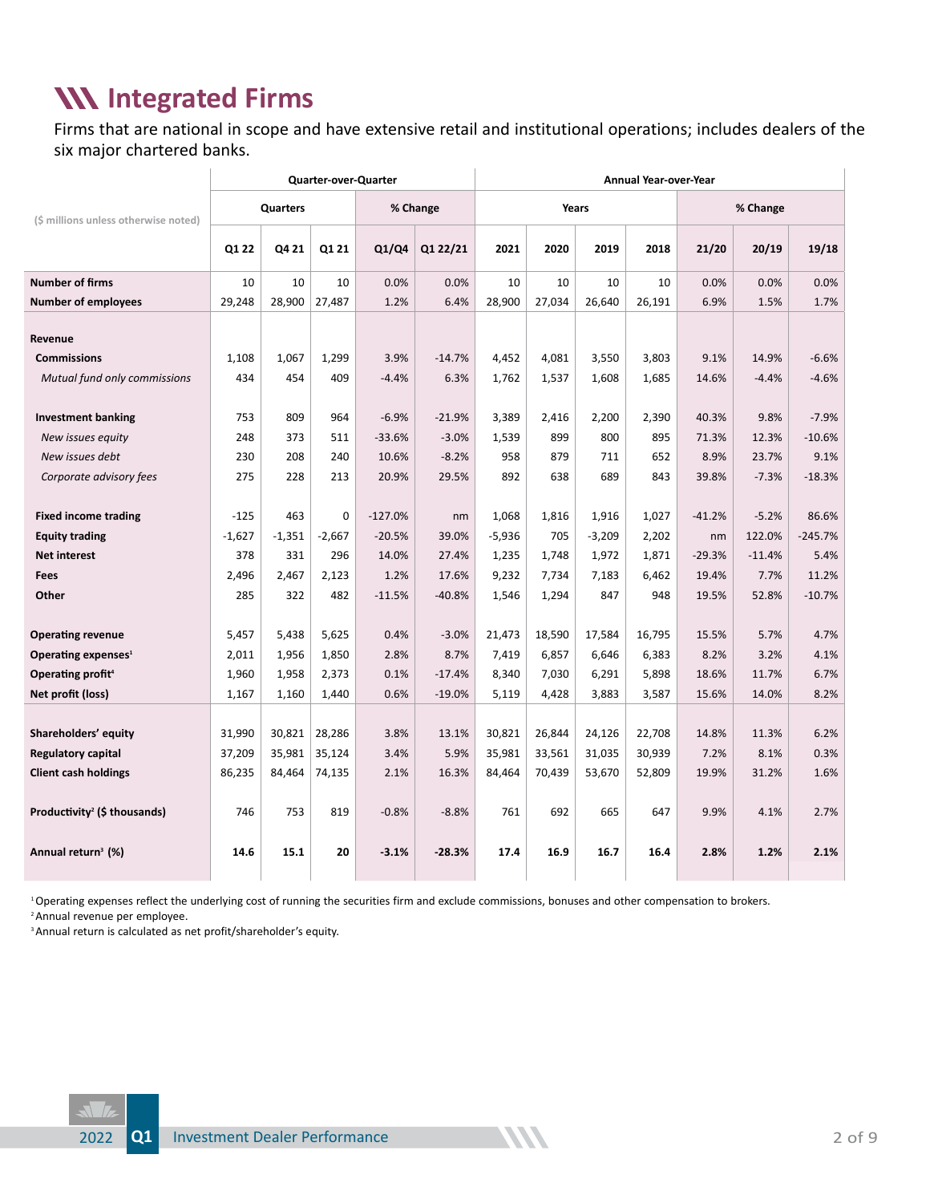#### **IN Integrated Firms**

Firms that are national in scope and have extensive retail and institutional operations; includes dealers of the six major chartered banks.

|                                          | <b>Quarter-over-Quarter</b> |          |          |           |          |          | Annual Year-over-Year |          |        |          |          |           |  |  |
|------------------------------------------|-----------------------------|----------|----------|-----------|----------|----------|-----------------------|----------|--------|----------|----------|-----------|--|--|
| (\$ millions unless otherwise noted)     |                             | Quarters |          |           | % Change |          | Years                 |          |        |          | % Change |           |  |  |
|                                          | Q1 22                       | Q4 21    | Q1 21    | Q1/Q4     | Q1 22/21 | 2021     | 2020                  | 2019     | 2018   | 21/20    | 20/19    | 19/18     |  |  |
| <b>Number of firms</b>                   | 10                          | 10       | 10       | 0.0%      | 0.0%     | 10       | 10                    | 10       | 10     | 0.0%     | 0.0%     | 0.0%      |  |  |
| <b>Number of employees</b>               | 29,248                      | 28,900   | 27,487   | 1.2%      | 6.4%     | 28,900   | 27,034                | 26,640   | 26,191 | 6.9%     | 1.5%     | 1.7%      |  |  |
|                                          |                             |          |          |           |          |          |                       |          |        |          |          |           |  |  |
| Revenue                                  |                             |          |          |           |          |          |                       |          |        |          |          |           |  |  |
| <b>Commissions</b>                       | 1,108                       | 1,067    | 1,299    | 3.9%      | $-14.7%$ | 4,452    | 4,081                 | 3,550    | 3,803  | 9.1%     | 14.9%    | $-6.6%$   |  |  |
| Mutual fund only commissions             | 434                         | 454      | 409      | $-4.4%$   | 6.3%     | 1,762    | 1,537                 | 1,608    | 1,685  | 14.6%    | $-4.4%$  | $-4.6%$   |  |  |
|                                          |                             |          |          |           |          |          |                       |          |        |          |          |           |  |  |
| <b>Investment banking</b>                | 753                         | 809      | 964      | $-6.9%$   | $-21.9%$ | 3,389    | 2,416                 | 2,200    | 2,390  | 40.3%    | 9.8%     | $-7.9%$   |  |  |
| New issues equity                        | 248                         | 373      | 511      | $-33.6%$  | $-3.0%$  | 1,539    | 899                   | 800      | 895    | 71.3%    | 12.3%    | $-10.6%$  |  |  |
| New issues debt                          | 230                         | 208      | 240      | 10.6%     | $-8.2%$  | 958      | 879                   | 711      | 652    | 8.9%     | 23.7%    | 9.1%      |  |  |
| Corporate advisory fees                  | 275                         | 228      | 213      | 20.9%     | 29.5%    | 892      | 638                   | 689      | 843    | 39.8%    | $-7.3%$  | $-18.3%$  |  |  |
|                                          |                             |          |          |           |          |          |                       |          |        |          |          |           |  |  |
| <b>Fixed income trading</b>              | $-125$                      | 463      | 0        | $-127.0%$ | nm       | 1,068    | 1,816                 | 1,916    | 1,027  | $-41.2%$ | $-5.2%$  | 86.6%     |  |  |
| <b>Equity trading</b>                    | $-1,627$                    | $-1,351$ | $-2,667$ | $-20.5%$  | 39.0%    | $-5,936$ | 705                   | $-3,209$ | 2,202  | nm       | 122.0%   | $-245.7%$ |  |  |
| <b>Net interest</b>                      | 378                         | 331      | 296      | 14.0%     | 27.4%    | 1,235    | 1,748                 | 1,972    | 1,871  | $-29.3%$ | $-11.4%$ | 5.4%      |  |  |
| <b>Fees</b>                              | 2,496                       | 2,467    | 2,123    | 1.2%      | 17.6%    | 9,232    | 7,734                 | 7,183    | 6,462  | 19.4%    | 7.7%     | 11.2%     |  |  |
| Other                                    | 285                         | 322      | 482      | $-11.5%$  | $-40.8%$ | 1,546    | 1,294                 | 847      | 948    | 19.5%    | 52.8%    | $-10.7%$  |  |  |
| <b>Operating revenue</b>                 | 5,457                       | 5,438    | 5,625    | 0.4%      | $-3.0%$  | 21,473   | 18,590                | 17,584   | 16,795 | 15.5%    | 5.7%     | 4.7%      |  |  |
| Operating expenses <sup>1</sup>          | 2,011                       | 1,956    | 1,850    | 2.8%      | 8.7%     | 7,419    | 6,857                 | 6,646    | 6,383  | 8.2%     | 3.2%     | 4.1%      |  |  |
| Operating profit <sup>4</sup>            | 1,960                       | 1,958    | 2,373    | 0.1%      | $-17.4%$ | 8,340    | 7,030                 | 6,291    | 5,898  | 18.6%    | 11.7%    | 6.7%      |  |  |
| Net profit (loss)                        | 1,167                       | 1,160    | 1,440    | 0.6%      | $-19.0%$ | 5,119    | 4,428                 | 3,883    | 3,587  | 15.6%    | 14.0%    | 8.2%      |  |  |
|                                          |                             |          |          |           |          |          |                       |          |        |          |          |           |  |  |
| Shareholders' equity                     | 31,990                      | 30,821   | 28,286   | 3.8%      | 13.1%    | 30,821   | 26.844                | 24,126   | 22,708 | 14.8%    | 11.3%    | 6.2%      |  |  |
| <b>Regulatory capital</b>                | 37,209                      | 35,981   | 35,124   | 3.4%      | 5.9%     | 35,981   | 33,561                | 31,035   | 30,939 | 7.2%     | 8.1%     | 0.3%      |  |  |
| <b>Client cash holdings</b>              | 86,235                      | 84,464   | 74,135   | 2.1%      | 16.3%    | 84,464   | 70,439                | 53,670   | 52,809 | 19.9%    | 31.2%    | 1.6%      |  |  |
|                                          |                             |          |          |           |          |          |                       |          |        |          |          |           |  |  |
| Productivity <sup>2</sup> (\$ thousands) | 746                         | 753      | 819      | $-0.8%$   | $-8.8%$  | 761      | 692                   | 665      | 647    | 9.9%     | 4.1%     | 2.7%      |  |  |
| Annual return <sup>3</sup> (%)           | 14.6                        | 15.1     | 20       | $-3.1%$   | $-28.3%$ | 17.4     | 16.9                  | 16.7     | 16.4   | 2.8%     | 1.2%     | 2.1%      |  |  |

1 Operating expenses reflect the underlying cost of running the securities firm and exclude commissions, bonuses and other compensation to brokers.

2 Annual revenue per employee.

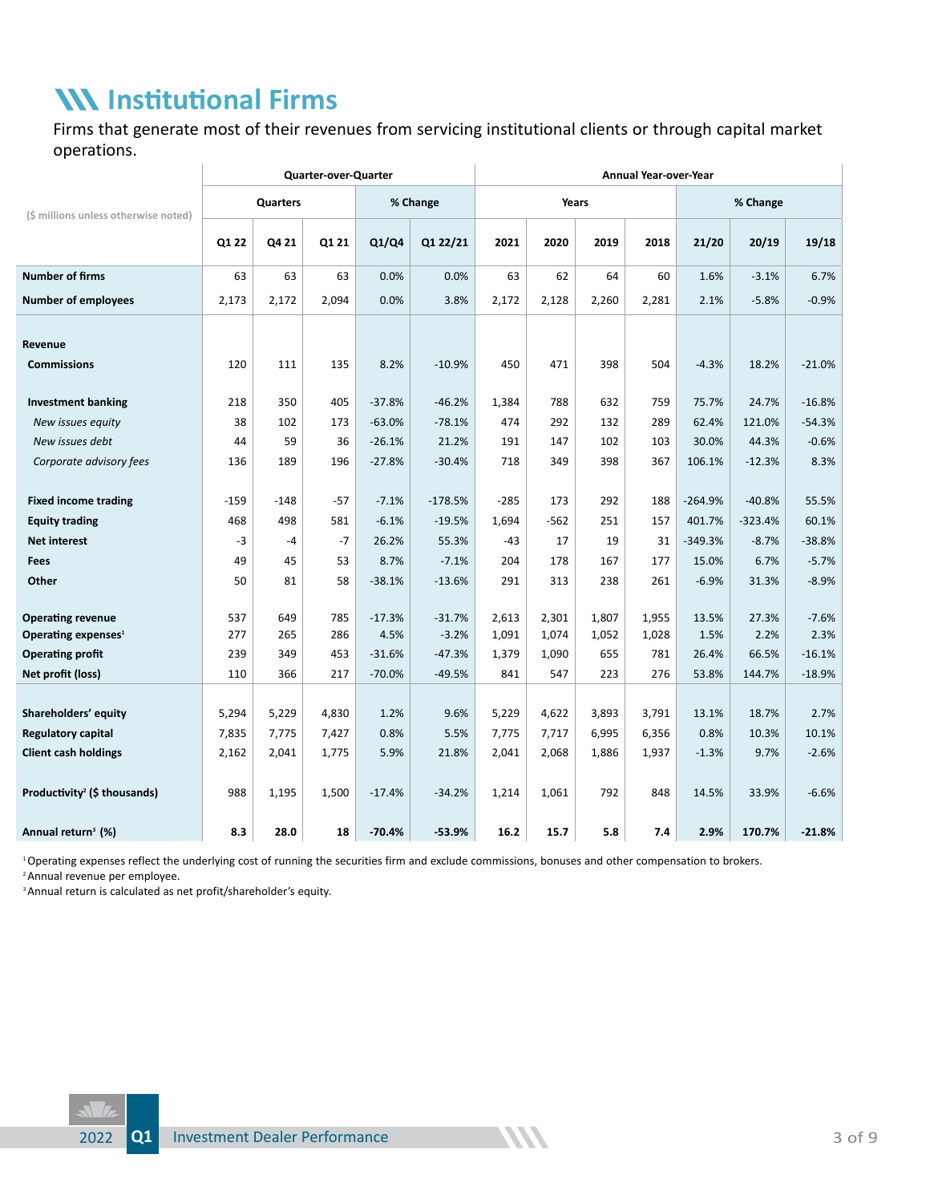### **Institutional Firms**

Firms that generate most of their revenues from servicing institutional clients or through capital market operations.

|                                                             | Quarter-over-Quarter |            |            |                  |                     |                | <b>Annual Year-over-Year</b> |                |                |               |               |                 |  |  |
|-------------------------------------------------------------|----------------------|------------|------------|------------------|---------------------|----------------|------------------------------|----------------|----------------|---------------|---------------|-----------------|--|--|
| (\$ millions unless otherwise noted)                        |                      | Quarters   |            |                  | % Change            |                | Years                        |                |                |               | % Change      |                 |  |  |
|                                                             | Q1 22                | Q4 21      | Q1 21      | Q1/Q4            | Q1 22/21            | 2021           | 2020                         | 2019           | 2018           | 21/20         | 20/19         | 19/18           |  |  |
| <b>Number of firms</b>                                      | 63                   | 63         | 63         | 0.0%             | 0.0%                | 63             | 62                           | 64             | 60             | 1.6%          | $-3.1%$       | 6.7%            |  |  |
| <b>Number of employees</b>                                  | 2,173                | 2,172      | 2,094      | 0.0%             | 3.8%                | 2,172          | 2,128                        | 2,260          | 2,281          | 2.1%          | $-5.8%$       | $-0.9%$         |  |  |
|                                                             |                      |            |            |                  |                     |                |                              |                |                |               |               |                 |  |  |
| Revenue                                                     |                      |            |            |                  |                     |                |                              |                |                |               |               |                 |  |  |
| <b>Commissions</b>                                          | 120                  | 111        | 135        | 8.2%             | $-10.9%$            | 450            | 471                          | 398            | 504            | $-4.3%$       | 18.2%         | $-21.0%$        |  |  |
| <b>Investment banking</b>                                   | 218                  | 350        | 405        | $-37.8%$         | $-46.2%$            | 1,384          | 788                          | 632            | 759            | 75.7%         | 24.7%         | $-16.8%$        |  |  |
| New issues equity                                           | 38                   | 102        | 173        | $-63.0%$         | $-78.1%$            | 474            | 292                          | 132            | 289            | 62.4%         | 121.0%        | $-54.3%$        |  |  |
| New issues debt                                             | 44                   | 59         | 36         | $-26.1%$         | 21.2%               | 191            | 147                          | 102            | 103            | 30.0%         | 44.3%         | $-0.6%$         |  |  |
| Corporate advisory fees                                     | 136                  | 189        | 196        | $-27.8%$         | $-30.4%$            | 718            | 349                          | 398            | 367            | 106.1%        | $-12.3%$      | 8.3%            |  |  |
|                                                             |                      |            |            |                  |                     |                |                              |                |                |               |               |                 |  |  |
| <b>Fixed income trading</b>                                 | $-159$               | $-148$     | $-57$      | $-7.1%$          | $-178.5%$           | $-285$         | 173                          | 292            | 188            | $-264.9%$     | $-40.8%$      | 55.5%           |  |  |
| <b>Equity trading</b>                                       | 468                  | 498        | 581        | $-6.1%$          | $-19.5%$            | 1,694          | $-562$                       | 251            | 157            | 401.7%        | $-323.4%$     | 60.1%           |  |  |
| <b>Net interest</b>                                         | $-3$                 | $-4$       | $-7$       | 26.2%            | 55.3%               | $-43$          | 17                           | 19             | 31             | $-349.3%$     | $-8.7%$       | $-38.8%$        |  |  |
| <b>Fees</b>                                                 | 49                   | 45         | 53         | 8.7%             | $-7.1%$             | 204            | 178                          | 167            | 177            | 15.0%         | 6.7%          | $-5.7%$         |  |  |
| Other                                                       | 50                   | 81         | 58         | $-38.1%$         | $-13.6%$            | 291            | 313                          | 238            | 261            | $-6.9%$       | 31.3%         | $-8.9%$         |  |  |
|                                                             |                      |            |            |                  |                     |                |                              |                |                |               |               |                 |  |  |
| <b>Operating revenue</b><br>Operating expenses <sup>1</sup> | 537<br>277           | 649<br>265 | 785<br>286 | $-17.3%$<br>4.5% | $-31.7%$<br>$-3.2%$ | 2,613<br>1,091 | 2,301<br>1,074               | 1,807<br>1,052 | 1,955<br>1,028 | 13.5%<br>1.5% | 27.3%<br>2.2% | $-7.6%$<br>2.3% |  |  |
| <b>Operating profit</b>                                     | 239                  | 349        | 453        | $-31.6%$         | $-47.3%$            | 1,379          | 1,090                        | 655            | 781            | 26.4%         | 66.5%         | $-16.1%$        |  |  |
| Net profit (loss)                                           | 110                  | 366        | 217        | $-70.0%$         | $-49.5%$            | 841            | 547                          | 223            | 276            | 53.8%         | 144.7%        | $-18.9%$        |  |  |
|                                                             |                      |            |            |                  |                     |                |                              |                |                |               |               |                 |  |  |
| Shareholders' equity                                        | 5,294                | 5,229      | 4,830      | 1.2%             | 9.6%                | 5,229          | 4,622                        | 3,893          | 3,791          | 13.1%         | 18.7%         | 2.7%            |  |  |
| <b>Regulatory capital</b>                                   | 7,835                | 7,775      | 7,427      | 0.8%             | 5.5%                | 7,775          | 7,717                        | 6,995          | 6,356          | 0.8%          | 10.3%         | 10.1%           |  |  |
| <b>Client cash holdings</b>                                 | 2,162                | 2,041      | 1,775      | 5.9%             | 21.8%               | 2,041          | 2,068                        | 1,886          | 1,937          | $-1.3%$       | 9.7%          | $-2.6%$         |  |  |
|                                                             |                      |            |            |                  |                     |                |                              |                |                |               |               |                 |  |  |
| Productivity <sup>2</sup> (\$ thousands)                    | 988                  | 1,195      | 1,500      | $-17.4%$         | $-34.2%$            | 1,214          | 1,061                        | 792            | 848            | 14.5%         | 33.9%         | $-6.6%$         |  |  |
| Annual return <sup>3</sup> (%)                              | 8.3                  | 28.0       | 18         | $-70.4%$         | -53.9%              | 16.2           | 15.7                         | 5.8            | 7.4            | 2.9%          | 170.7%        | $-21.8%$        |  |  |

1 Operating expenses reflect the underlying cost of running the securities firm and exclude commissions, bonuses and other compensation to brokers.

<sup>2</sup> Annual revenue per employee.

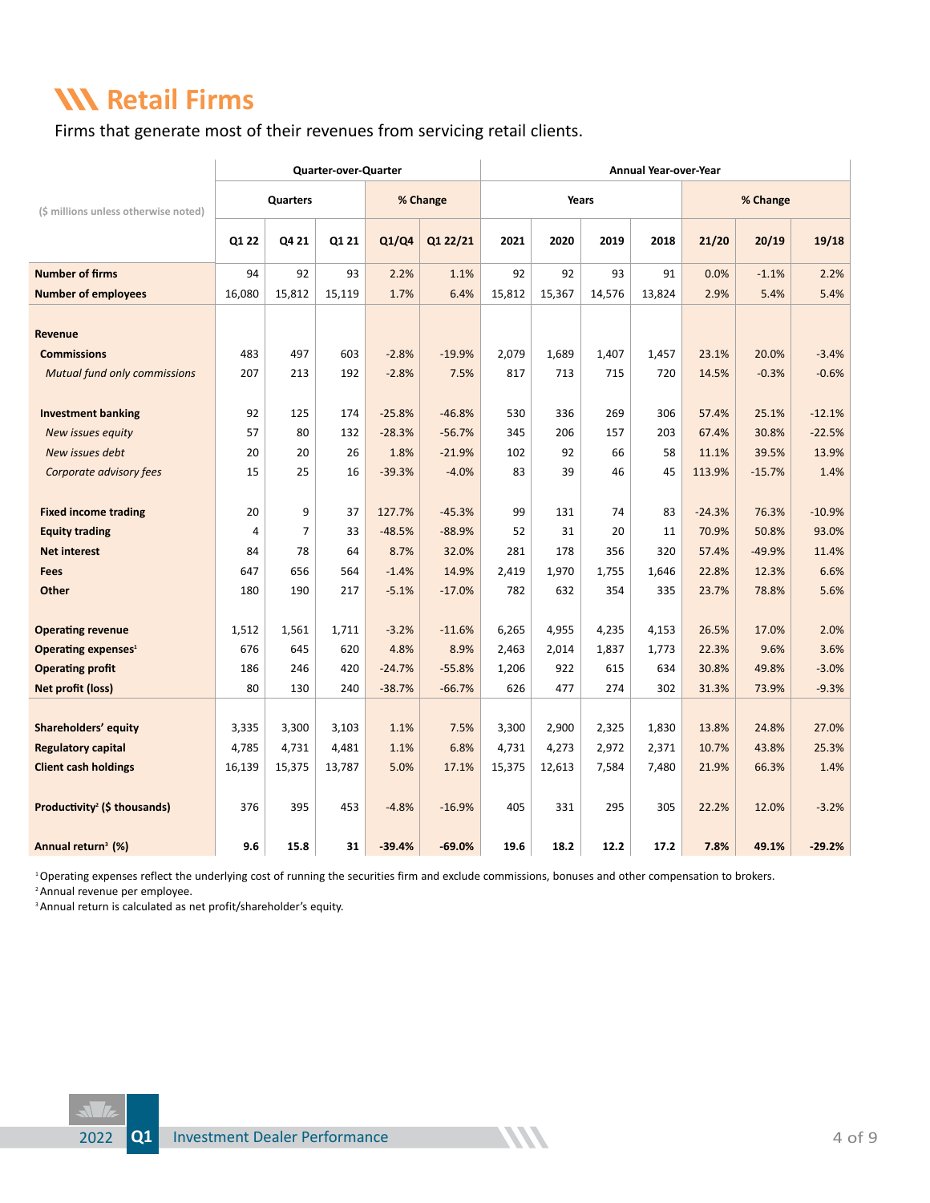#### **KN Retail Firms**

Firms that generate most of their revenues from servicing retail clients.

|                                          |        |                | <b>Quarter-over-Quarter</b> |          |          | Annual Year-over-Year |        |        |        |          |          |          |  |  |
|------------------------------------------|--------|----------------|-----------------------------|----------|----------|-----------------------|--------|--------|--------|----------|----------|----------|--|--|
| (\$ millions unless otherwise noted)     |        | Quarters       |                             |          | % Change |                       | Years  |        |        |          | % Change |          |  |  |
|                                          | Q1 22  | Q4 21          | Q1 21                       | Q1/Q4    | Q1 22/21 | 2021                  | 2020   | 2019   | 2018   | 21/20    | 20/19    | 19/18    |  |  |
| <b>Number of firms</b>                   | 94     | 92             | 93                          | 2.2%     | 1.1%     | 92                    | 92     | 93     | 91     | 0.0%     | $-1.1%$  | 2.2%     |  |  |
| <b>Number of employees</b>               | 16,080 | 15,812         | 15,119                      | 1.7%     | 6.4%     | 15,812                | 15,367 | 14,576 | 13,824 | 2.9%     | 5.4%     | 5.4%     |  |  |
|                                          |        |                |                             |          |          |                       |        |        |        |          |          |          |  |  |
| Revenue                                  |        |                |                             |          |          |                       |        |        |        |          |          |          |  |  |
| <b>Commissions</b>                       | 483    | 497            | 603                         | $-2.8%$  | $-19.9%$ | 2,079                 | 1,689  | 1.407  | 1,457  | 23.1%    | 20.0%    | $-3.4%$  |  |  |
| <b>Mutual fund only commissions</b>      | 207    | 213            | 192                         | $-2.8%$  | 7.5%     | 817                   | 713    | 715    | 720    | 14.5%    | $-0.3%$  | $-0.6%$  |  |  |
|                                          |        |                |                             |          |          |                       |        |        |        |          |          |          |  |  |
| <b>Investment banking</b>                | 92     | 125            | 174                         | $-25.8%$ | $-46.8%$ | 530                   | 336    | 269    | 306    | 57.4%    | 25.1%    | $-12.1%$ |  |  |
| New issues equity                        | 57     | 80             | 132                         | $-28.3%$ | $-56.7%$ | 345                   | 206    | 157    | 203    | 67.4%    | 30.8%    | $-22.5%$ |  |  |
| New issues debt                          | 20     | 20             | 26                          | 1.8%     | $-21.9%$ | 102                   | 92     | 66     | 58     | 11.1%    | 39.5%    | 13.9%    |  |  |
| Corporate advisory fees                  | 15     | 25             | 16                          | $-39.3%$ | $-4.0%$  | 83                    | 39     | 46     | 45     | 113.9%   | $-15.7%$ | 1.4%     |  |  |
|                                          |        |                |                             |          |          |                       |        |        |        |          |          |          |  |  |
| <b>Fixed income trading</b>              | 20     | 9              | 37                          | 127.7%   | $-45.3%$ | 99                    | 131    | 74     | 83     | $-24.3%$ | 76.3%    | $-10.9%$ |  |  |
| <b>Equity trading</b>                    | 4      | $\overline{7}$ | 33                          | $-48.5%$ | $-88.9%$ | 52                    | 31     | 20     | 11     | 70.9%    | 50.8%    | 93.0%    |  |  |
| <b>Net interest</b>                      | 84     | 78             | 64                          | 8.7%     | 32.0%    | 281                   | 178    | 356    | 320    | 57.4%    | $-49.9%$ | 11.4%    |  |  |
| <b>Fees</b>                              | 647    | 656            | 564                         | $-1.4%$  | 14.9%    | 2,419                 | 1,970  | 1,755  | 1,646  | 22.8%    | 12.3%    | 6.6%     |  |  |
| Other                                    | 180    | 190            | 217                         | $-5.1%$  | $-17.0%$ | 782                   | 632    | 354    | 335    | 23.7%    | 78.8%    | 5.6%     |  |  |
| <b>Operating revenue</b>                 | 1,512  | 1,561          | 1,711                       | $-3.2%$  | $-11.6%$ | 6,265                 | 4,955  | 4,235  | 4,153  | 26.5%    | 17.0%    | 2.0%     |  |  |
| Operating expenses <sup>1</sup>          | 676    | 645            | 620                         | 4.8%     | 8.9%     | 2,463                 | 2,014  | 1,837  | 1,773  | 22.3%    | 9.6%     | 3.6%     |  |  |
| <b>Operating profit</b>                  | 186    | 246            | 420                         | $-24.7%$ | $-55.8%$ | 1,206                 | 922    | 615    | 634    | 30.8%    | 49.8%    | $-3.0%$  |  |  |
| Net profit (loss)                        | 80     | 130            | 240                         | $-38.7%$ | $-66.7%$ | 626                   | 477    | 274    | 302    | 31.3%    | 73.9%    | $-9.3%$  |  |  |
|                                          |        |                |                             |          |          |                       |        |        |        |          |          |          |  |  |
| Shareholders' equity                     | 3,335  | 3.300          | 3,103                       | 1.1%     | 7.5%     | 3,300                 | 2,900  | 2,325  | 1,830  | 13.8%    | 24.8%    | 27.0%    |  |  |
| <b>Regulatory capital</b>                | 4,785  | 4,731          | 4,481                       | 1.1%     | 6.8%     | 4,731                 | 4,273  | 2,972  | 2,371  | 10.7%    | 43.8%    | 25.3%    |  |  |
| <b>Client cash holdings</b>              | 16,139 | 15,375         | 13,787                      | 5.0%     | 17.1%    | 15,375                | 12,613 | 7,584  | 7,480  | 21.9%    | 66.3%    | 1.4%     |  |  |
|                                          |        |                |                             |          |          |                       |        |        |        |          |          |          |  |  |
| Productivity <sup>2</sup> (\$ thousands) | 376    | 395            | 453                         | $-4.8%$  | $-16.9%$ | 405                   | 331    | 295    | 305    | 22.2%    | 12.0%    | $-3.2%$  |  |  |
| Annual return <sup>3</sup> (%)           | 9.6    | 15.8           | 31                          | $-39.4%$ | $-69.0%$ | 19.6                  | 18.2   | 12.2   | 17.2   | 7.8%     | 49.1%    | $-29.2%$ |  |  |

<sup>1</sup>Operating expenses reflect the underlying cost of running the securities firm and exclude commissions, bonuses and other compensation to brokers.

2 Annual revenue per employee.

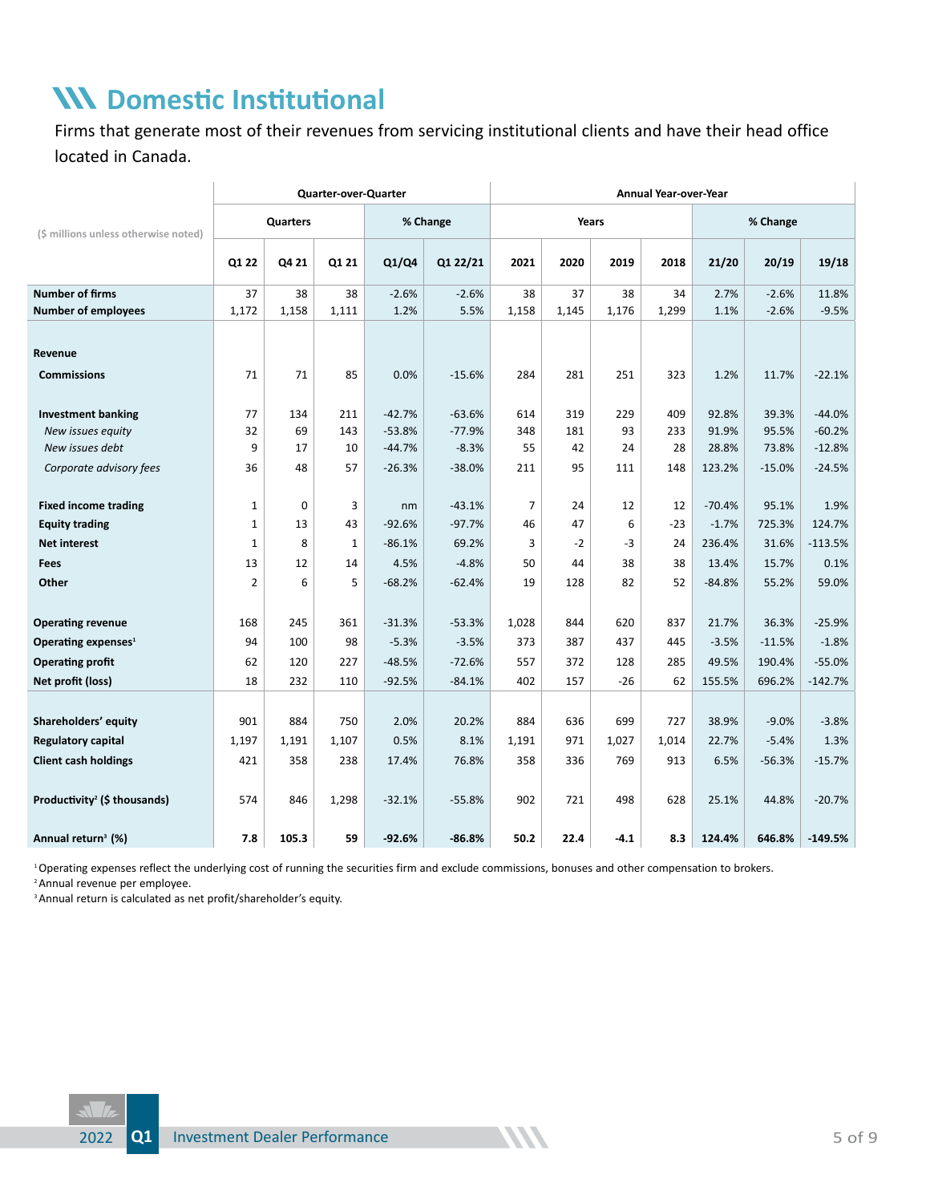# **Domestic Institutional**

Firms that generate most of their revenues from servicing institutional clients and have their head office located in Canada.

|                                          |                |          | Quarter-over-Quarter |          |          | Annual Year-over-Year |       |        |       |          |          |           |  |  |
|------------------------------------------|----------------|----------|----------------------|----------|----------|-----------------------|-------|--------|-------|----------|----------|-----------|--|--|
| (\$ millions unless otherwise noted)     |                | Quarters |                      |          | % Change |                       | Years |        |       |          | % Change |           |  |  |
|                                          | Q1 22          | Q4 21    | Q1 21                | Q1/Q4    | Q1 22/21 | 2021                  | 2020  | 2019   | 2018  | 21/20    | 20/19    | 19/18     |  |  |
| <b>Number of firms</b>                   | 37             | 38       | 38                   | $-2.6%$  | $-2.6%$  | 38                    | 37    | 38     | 34    | 2.7%     | $-2.6%$  | 11.8%     |  |  |
| <b>Number of employees</b>               | 1,172          | 1,158    | 1,111                | 1.2%     | 5.5%     | 1,158                 | 1,145 | 1,176  | 1,299 | 1.1%     | $-2.6%$  | $-9.5%$   |  |  |
|                                          |                |          |                      |          |          |                       |       |        |       |          |          |           |  |  |
| Revenue                                  |                |          |                      |          |          |                       |       |        |       |          |          |           |  |  |
| <b>Commissions</b>                       | 71             | 71       | 85                   | 0.0%     | $-15.6%$ | 284                   | 281   | 251    | 323   | 1.2%     | 11.7%    | $-22.1%$  |  |  |
|                                          |                |          |                      |          |          |                       |       |        |       |          |          |           |  |  |
| <b>Investment banking</b>                | 77             | 134      | 211                  | $-42.7%$ | $-63.6%$ | 614                   | 319   | 229    | 409   | 92.8%    | 39.3%    | $-44.0%$  |  |  |
| New issues equity                        | 32             | 69       | 143                  | $-53.8%$ | $-77.9%$ | 348                   | 181   | 93     | 233   | 91.9%    | 95.5%    | $-60.2%$  |  |  |
| New issues debt                          | 9              | 17       | 10                   | $-44.7%$ | $-8.3%$  | 55                    | 42    | 24     | 28    | 28.8%    | 73.8%    | $-12.8%$  |  |  |
| Corporate advisory fees                  | 36             | 48       | 57                   | $-26.3%$ | $-38.0%$ | 211                   | 95    | 111    | 148   | 123.2%   | $-15.0%$ | $-24.5%$  |  |  |
|                                          |                |          |                      |          |          |                       |       |        |       |          |          |           |  |  |
| <b>Fixed income trading</b>              | $\mathbf 1$    | $\Omega$ | 3                    | nm       | $-43.1%$ | $\overline{7}$        | 24    | 12     | 12    | $-70.4%$ | 95.1%    | 1.9%      |  |  |
| <b>Equity trading</b>                    | $\mathbf 1$    | 13       | 43                   | $-92.6%$ | $-97.7%$ | 46                    | 47    | 6      | $-23$ | $-1.7%$  | 725.3%   | 124.7%    |  |  |
| <b>Net interest</b>                      | $\mathbf{1}$   | 8        | $\mathbf{1}$         | $-86.1%$ | 69.2%    | 3                     | $-2$  | -3     | 24    | 236.4%   | 31.6%    | $-113.5%$ |  |  |
| <b>Fees</b>                              | 13             | 12       | 14                   | 4.5%     | $-4.8%$  | 50                    | 44    | 38     | 38    | 13.4%    | 15.7%    | 0.1%      |  |  |
| Other                                    | $\overline{2}$ | 6        | 5                    | $-68.2%$ | $-62.4%$ | 19                    | 128   | 82     | 52    | $-84.8%$ | 55.2%    | 59.0%     |  |  |
|                                          |                |          |                      |          |          |                       |       |        |       |          |          |           |  |  |
| <b>Operating revenue</b>                 | 168            | 245      | 361                  | $-31.3%$ | $-53.3%$ | 1,028                 | 844   | 620    | 837   | 21.7%    | 36.3%    | $-25.9%$  |  |  |
| Operating expenses <sup>1</sup>          | 94             | 100      | 98                   | $-5.3%$  | $-3.5%$  | 373                   | 387   | 437    | 445   | $-3.5%$  | $-11.5%$ | $-1.8%$   |  |  |
| <b>Operating profit</b>                  | 62             | 120      | 227                  | $-48.5%$ | $-72.6%$ | 557                   | 372   | 128    | 285   | 49.5%    | 190.4%   | $-55.0%$  |  |  |
| Net profit (loss)                        | 18             | 232      | 110                  | $-92.5%$ | $-84.1%$ | 402                   | 157   | $-26$  | 62    | 155.5%   | 696.2%   | $-142.7%$ |  |  |
|                                          |                |          |                      |          |          |                       |       |        |       |          |          |           |  |  |
| Shareholders' equity                     | 901            | 884      | 750                  | 2.0%     | 20.2%    | 884                   | 636   | 699    | 727   | 38.9%    | $-9.0%$  | $-3.8%$   |  |  |
| Regulatory capital                       | 1,197          | 1,191    | 1,107                | 0.5%     | 8.1%     | 1,191                 | 971   | 1,027  | 1,014 | 22.7%    | $-5.4%$  | 1.3%      |  |  |
| <b>Client cash holdings</b>              | 421            | 358      | 238                  | 17.4%    | 76.8%    | 358                   | 336   | 769    | 913   | 6.5%     | $-56.3%$ | $-15.7%$  |  |  |
|                                          |                |          |                      |          |          |                       |       |        |       |          |          |           |  |  |
| Productivity <sup>2</sup> (\$ thousands) | 574            | 846      | 1,298                | $-32.1%$ | $-55.8%$ | 902                   | 721   | 498    | 628   | 25.1%    | 44.8%    | $-20.7%$  |  |  |
| Annual return <sup>3</sup> (%)           | 7.8            | 105.3    | 59                   | $-92.6%$ | $-86.8%$ | 50.2                  | 22.4  | $-4.1$ | 8.3   | 124.4%   | 646.8%   | $-149.5%$ |  |  |

<sup>1</sup> Operating expenses reflect the underlying cost of running the securities firm and exclude commissions, bonuses and other compensation to brokers.

2 Annual revenue per employee.

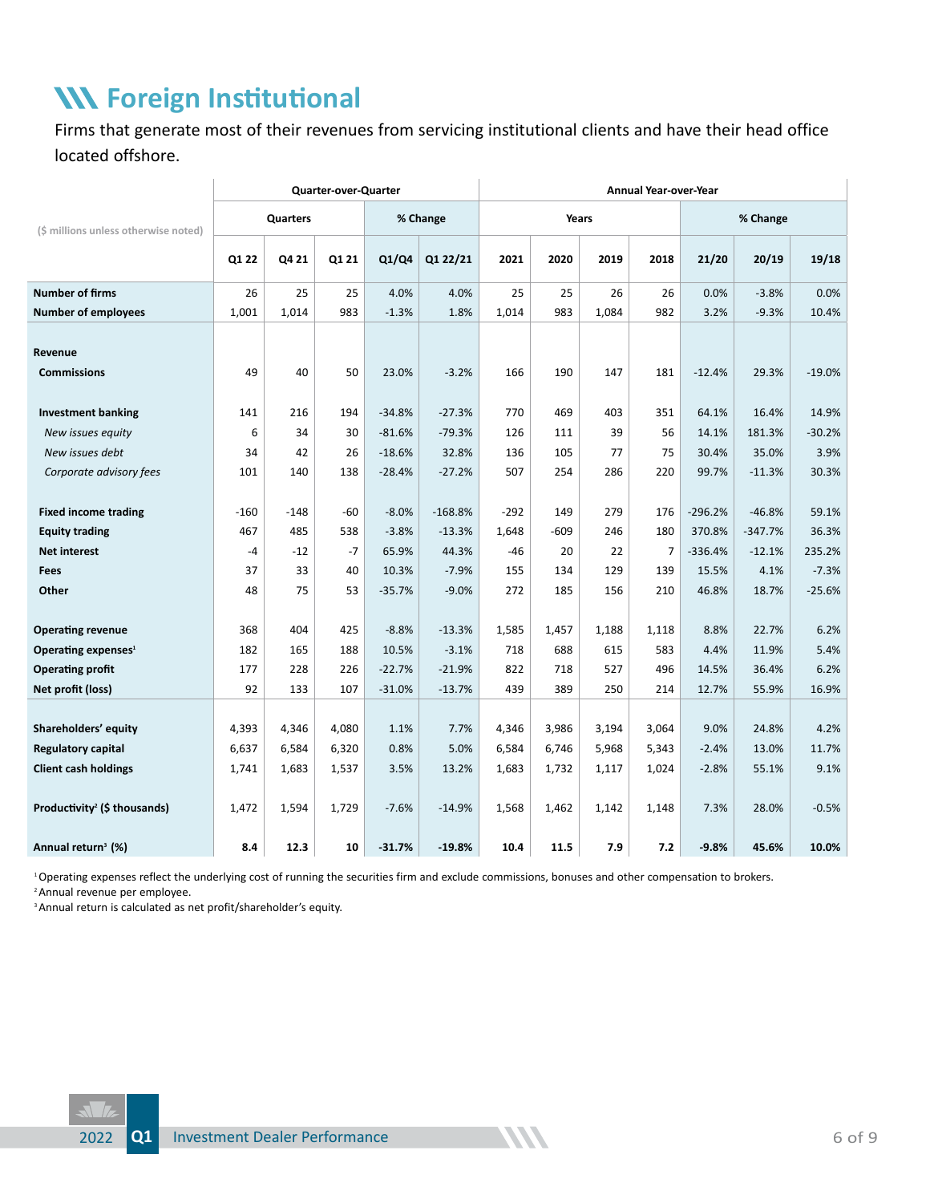## **Foreign Institutional**

Firms that generate most of their revenues from servicing institutional clients and have their head office located offshore.

|                                          | <b>Quarter-over-Quarter</b> |          |       |          |           |        | Annual Year-over-Year |       |       |           |           |          |  |  |  |
|------------------------------------------|-----------------------------|----------|-------|----------|-----------|--------|-----------------------|-------|-------|-----------|-----------|----------|--|--|--|
| (\$ millions unless otherwise noted)     |                             | Quarters |       |          | % Change  |        | Years                 |       |       | % Change  |           |          |  |  |  |
|                                          | Q1 22                       | Q4 21    | Q1 21 | Q1/Q4    | Q1 22/21  | 2021   | 2020                  | 2019  | 2018  | 21/20     | 20/19     | 19/18    |  |  |  |
| <b>Number of firms</b>                   | 26                          | 25       | 25    | 4.0%     | 4.0%      | 25     | 25                    | 26    | 26    | 0.0%      | $-3.8%$   | 0.0%     |  |  |  |
| <b>Number of employees</b>               | 1,001                       | 1,014    | 983   | $-1.3%$  | 1.8%      | 1,014  | 983                   | 1,084 | 982   | 3.2%      | $-9.3%$   | 10.4%    |  |  |  |
|                                          |                             |          |       |          |           |        |                       |       |       |           |           |          |  |  |  |
| Revenue                                  |                             |          |       |          |           |        |                       |       |       |           |           |          |  |  |  |
| <b>Commissions</b>                       | 49                          | 40       | 50    | 23.0%    | $-3.2%$   | 166    | 190                   | 147   | 181   | $-12.4%$  | 29.3%     | $-19.0%$ |  |  |  |
| <b>Investment banking</b>                | 141                         | 216      | 194   | $-34.8%$ | $-27.3%$  | 770    | 469                   | 403   | 351   | 64.1%     | 16.4%     | 14.9%    |  |  |  |
| New issues equity                        | 6                           | 34       | 30    | $-81.6%$ | $-79.3%$  | 126    | 111                   | 39    | 56    | 14.1%     | 181.3%    | $-30.2%$ |  |  |  |
| New issues debt                          | 34                          | 42       | 26    | $-18.6%$ | 32.8%     | 136    | 105                   | 77    | 75    | 30.4%     | 35.0%     | 3.9%     |  |  |  |
| Corporate advisory fees                  | 101                         | 140      | 138   | $-28.4%$ | $-27.2%$  | 507    | 254                   | 286   | 220   | 99.7%     | $-11.3%$  | 30.3%    |  |  |  |
|                                          |                             |          |       |          |           |        |                       |       |       |           |           |          |  |  |  |
| <b>Fixed income trading</b>              | $-160$                      | $-148$   | $-60$ | $-8.0%$  | $-168.8%$ | $-292$ | 149                   | 279   | 176   | $-296.2%$ | $-46.8%$  | 59.1%    |  |  |  |
| <b>Equity trading</b>                    | 467                         | 485      | 538   | $-3.8%$  | $-13.3%$  | 1,648  | $-609$                | 246   | 180   | 370.8%    | $-347.7%$ | 36.3%    |  |  |  |
| <b>Net interest</b>                      | -4                          | $-12$    | $-7$  | 65.9%    | 44.3%     | $-46$  | 20                    | 22    | 7     | $-336.4%$ | $-12.1%$  | 235.2%   |  |  |  |
| Fees                                     | 37                          | 33       | 40    | 10.3%    | $-7.9%$   | 155    | 134                   | 129   | 139   | 15.5%     | 4.1%      | $-7.3%$  |  |  |  |
| Other                                    | 48                          | 75       | 53    | $-35.7%$ | $-9.0%$   | 272    | 185                   | 156   | 210   | 46.8%     | 18.7%     | $-25.6%$ |  |  |  |
|                                          |                             |          |       |          |           |        |                       |       |       |           |           |          |  |  |  |
| <b>Operating revenue</b>                 | 368                         | 404      | 425   | $-8.8%$  | $-13.3%$  | 1,585  | 1,457                 | 1,188 | 1,118 | 8.8%      | 22.7%     | 6.2%     |  |  |  |
| Operating expenses <sup>1</sup>          | 182                         | 165      | 188   | 10.5%    | $-3.1%$   | 718    | 688                   | 615   | 583   | 4.4%      | 11.9%     | 5.4%     |  |  |  |
| <b>Operating profit</b>                  | 177                         | 228      | 226   | $-22.7%$ | $-21.9%$  | 822    | 718                   | 527   | 496   | 14.5%     | 36.4%     | 6.2%     |  |  |  |
| Net profit (loss)                        | 92                          | 133      | 107   | $-31.0%$ | $-13.7%$  | 439    | 389                   | 250   | 214   | 12.7%     | 55.9%     | 16.9%    |  |  |  |
|                                          |                             |          |       |          |           |        |                       |       |       |           |           |          |  |  |  |
| Shareholders' equity                     | 4,393                       | 4,346    | 4,080 | 1.1%     | 7.7%      | 4,346  | 3,986                 | 3,194 | 3,064 | 9.0%      | 24.8%     | 4.2%     |  |  |  |
| <b>Regulatory capital</b>                | 6,637                       | 6,584    | 6,320 | 0.8%     | 5.0%      | 6,584  | 6,746                 | 5,968 | 5,343 | $-2.4%$   | 13.0%     | 11.7%    |  |  |  |
| <b>Client cash holdings</b>              | 1,741                       | 1,683    | 1,537 | 3.5%     | 13.2%     | 1,683  | 1,732                 | 1,117 | 1,024 | $-2.8%$   | 55.1%     | 9.1%     |  |  |  |
| Productivity <sup>2</sup> (\$ thousands) | 1,472                       | 1,594    | 1,729 | $-7.6%$  | $-14.9%$  | 1,568  | 1,462                 | 1,142 | 1,148 | 7.3%      | 28.0%     | $-0.5%$  |  |  |  |
| Annual return <sup>3</sup> (%)           | 8.4                         | 12.3     | 10    | $-31.7%$ | $-19.8%$  | 10.4   | 11.5                  | 7.9   | 7.2   | $-9.8%$   | 45.6%     | 10.0%    |  |  |  |

<sup>1</sup> Operating expenses reflect the underlying cost of running the securities firm and exclude commissions, bonuses and other compensation to brokers.

<sup>2</sup> Annual revenue per employee.

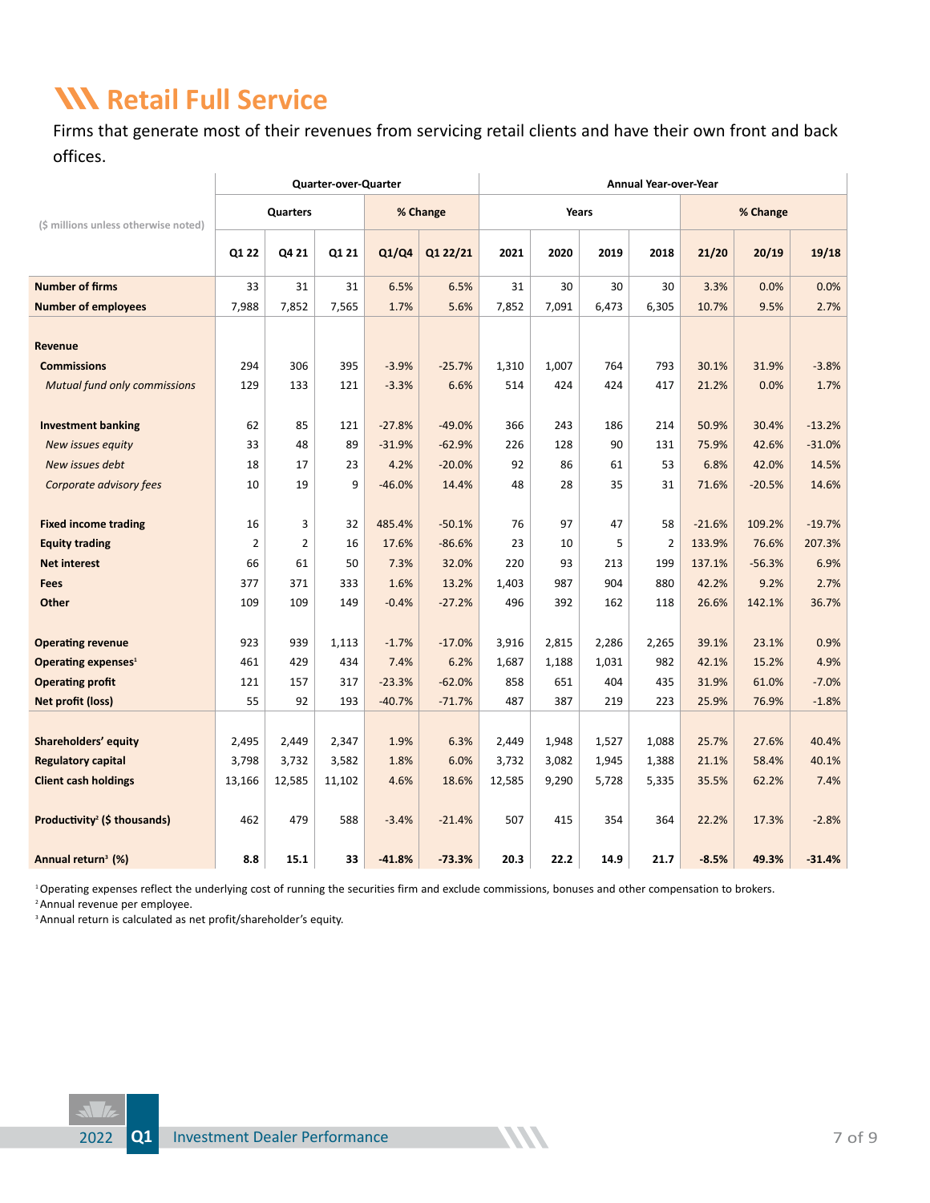## **Retail Full Service**

Firms that generate most of their revenues from servicing retail clients and have their own front and back offices.

|                                          | Quarter-over-Quarter |                |        |          |          |        | <b>Annual Year-over-Year</b> |       |                |          |          |          |  |  |
|------------------------------------------|----------------------|----------------|--------|----------|----------|--------|------------------------------|-------|----------------|----------|----------|----------|--|--|
| (\$ millions unless otherwise noted)     |                      | Quarters       |        |          | % Change |        | Years                        |       |                |          | % Change |          |  |  |
|                                          | Q1 22                | Q4 21          | Q1 21  | Q1/Q4    | Q1 22/21 | 2021   | 2020                         | 2019  | 2018           | 21/20    | 20/19    | 19/18    |  |  |
| <b>Number of firms</b>                   | 33                   | 31             | 31     | 6.5%     | 6.5%     | 31     | 30                           | 30    | 30             | 3.3%     | 0.0%     | 0.0%     |  |  |
| <b>Number of employees</b>               | 7,988                | 7,852          | 7,565  | 1.7%     | 5.6%     | 7,852  | 7,091                        | 6,473 | 6,305          | 10.7%    | 9.5%     | 2.7%     |  |  |
| Revenue                                  |                      |                |        |          |          |        |                              |       |                |          |          |          |  |  |
| <b>Commissions</b>                       | 294                  | 306            | 395    | $-3.9%$  | $-25.7%$ | 1,310  | 1.007                        | 764   | 793            | 30.1%    | 31.9%    | $-3.8%$  |  |  |
| <b>Mutual fund only commissions</b>      | 129                  | 133            | 121    | $-3.3%$  | 6.6%     | 514    | 424                          | 424   | 417            | 21.2%    | 0.0%     | 1.7%     |  |  |
|                                          |                      |                |        |          |          |        |                              |       |                |          |          |          |  |  |
| <b>Investment banking</b>                | 62                   | 85             | 121    | $-27.8%$ | $-49.0%$ | 366    | 243                          | 186   | 214            | 50.9%    | 30.4%    | $-13.2%$ |  |  |
| New issues equity                        | 33                   | 48             | 89     | $-31.9%$ | $-62.9%$ | 226    | 128                          | 90    | 131            | 75.9%    | 42.6%    | $-31.0%$ |  |  |
| New issues debt                          | 18                   | 17             | 23     | 4.2%     | $-20.0%$ | 92     | 86                           | 61    | 53             | 6.8%     | 42.0%    | 14.5%    |  |  |
| Corporate advisory fees                  | 10                   | 19             | 9      | $-46.0%$ | 14.4%    | 48     | 28                           | 35    | 31             | 71.6%    | $-20.5%$ | 14.6%    |  |  |
|                                          |                      |                |        |          |          |        |                              |       |                |          |          |          |  |  |
| <b>Fixed income trading</b>              | 16                   | 3              | 32     | 485.4%   | $-50.1%$ | 76     | 97                           | 47    | 58             | $-21.6%$ | 109.2%   | $-19.7%$ |  |  |
| <b>Equity trading</b>                    | $\overline{2}$       | $\overline{2}$ | 16     | 17.6%    | $-86.6%$ | 23     | 10                           | 5     | $\overline{2}$ | 133.9%   | 76.6%    | 207.3%   |  |  |
| <b>Net interest</b>                      | 66                   | 61             | 50     | 7.3%     | 32.0%    | 220    | 93                           | 213   | 199            | 137.1%   | $-56.3%$ | 6.9%     |  |  |
| <b>Fees</b>                              | 377                  | 371            | 333    | 1.6%     | 13.2%    | 1,403  | 987                          | 904   | 880            | 42.2%    | 9.2%     | 2.7%     |  |  |
| Other                                    | 109                  | 109            | 149    | $-0.4%$  | $-27.2%$ | 496    | 392                          | 162   | 118            | 26.6%    | 142.1%   | 36.7%    |  |  |
| <b>Operating revenue</b>                 | 923                  | 939            | 1,113  | $-1.7%$  | $-17.0%$ | 3,916  | 2,815                        | 2,286 | 2,265          | 39.1%    | 23.1%    | 0.9%     |  |  |
| Operating expenses <sup>1</sup>          | 461                  | 429            | 434    | 7.4%     | 6.2%     | 1,687  | 1,188                        | 1,031 | 982            | 42.1%    | 15.2%    | 4.9%     |  |  |
| <b>Operating profit</b>                  | 121                  | 157            | 317    | $-23.3%$ | $-62.0%$ | 858    | 651                          | 404   | 435            | 31.9%    | 61.0%    | $-7.0%$  |  |  |
| Net profit (loss)                        | 55                   | 92             | 193    | $-40.7%$ | $-71.7%$ | 487    | 387                          | 219   | 223            | 25.9%    | 76.9%    | $-1.8%$  |  |  |
|                                          |                      |                |        |          |          |        |                              |       |                |          |          |          |  |  |
| Shareholders' equity                     | 2,495                | 2,449          | 2,347  | 1.9%     | 6.3%     | 2,449  | 1,948                        | 1,527 | 1,088          | 25.7%    | 27.6%    | 40.4%    |  |  |
| <b>Regulatory capital</b>                | 3,798                | 3,732          | 3,582  | 1.8%     | 6.0%     | 3,732  | 3,082                        | 1,945 | 1,388          | 21.1%    | 58.4%    | 40.1%    |  |  |
| <b>Client cash holdings</b>              | 13,166               | 12,585         | 11,102 | 4.6%     | 18.6%    | 12,585 | 9,290                        | 5,728 | 5,335          | 35.5%    | 62.2%    | 7.4%     |  |  |
|                                          |                      |                |        |          |          |        |                              |       |                |          |          |          |  |  |
| Productivity <sup>2</sup> (\$ thousands) | 462                  | 479            | 588    | $-3.4%$  | $-21.4%$ | 507    | 415                          | 354   | 364            | 22.2%    | 17.3%    | $-2.8%$  |  |  |
| Annual return <sup>3</sup> (%)           | 8.8                  | 15.1           | 33     | $-41.8%$ | $-73.3%$ | 20.3   | 22.2                         | 14.9  | 21.7           | $-8.5%$  | 49.3%    | $-31.4%$ |  |  |

<sup>1</sup> Operating expenses reflect the underlying cost of running the securities firm and exclude commissions, bonuses and other compensation to brokers.

2 Annual revenue per employee.

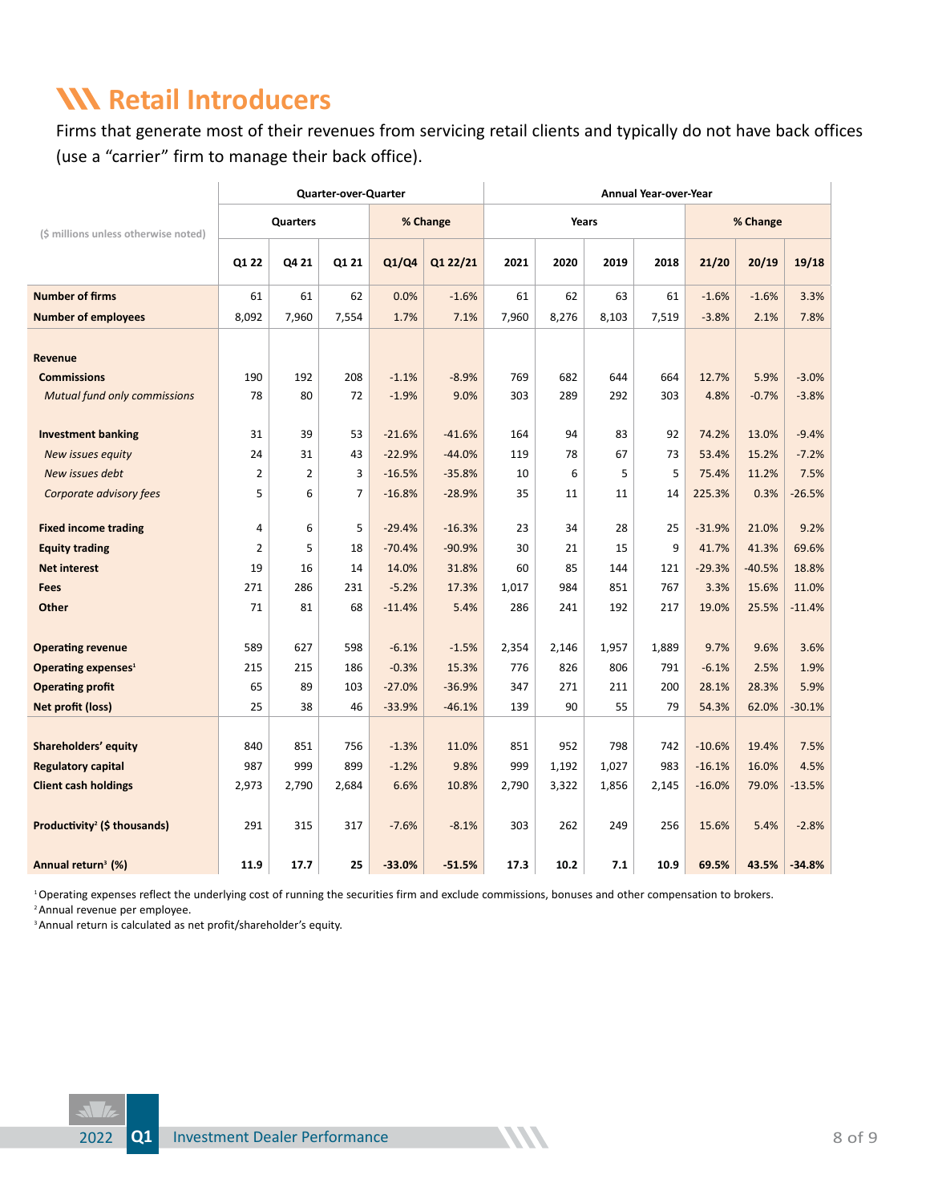#### **Retail Introducers**

Firms that generate most of their revenues from servicing retail clients and typically do not have back offices (use a "carrier" firm to manage their back office).

|                                          |                |                | <b>Quarter-over-Quarter</b> |          |          | <b>Annual Year-over-Year</b> |       |       |       |          |          |          |  |
|------------------------------------------|----------------|----------------|-----------------------------|----------|----------|------------------------------|-------|-------|-------|----------|----------|----------|--|
| (\$ millions unless otherwise noted)     |                | Quarters       |                             |          | % Change |                              | Years |       |       |          | % Change |          |  |
|                                          | Q1 22          | Q4 21          | Q1 21                       | Q1/Q4    | Q1 22/21 | 2021                         | 2020  | 2019  | 2018  | 21/20    | 20/19    | 19/18    |  |
| <b>Number of firms</b>                   | 61             | 61             | 62                          | 0.0%     | $-1.6%$  | 61                           | 62    | 63    | 61    | $-1.6%$  | $-1.6%$  | 3.3%     |  |
| <b>Number of employees</b>               | 8,092          | 7,960          | 7,554                       | 1.7%     | 7.1%     | 7,960                        | 8,276 | 8,103 | 7,519 | $-3.8%$  | 2.1%     | 7.8%     |  |
| Revenue                                  |                |                |                             |          |          |                              |       |       |       |          |          |          |  |
| <b>Commissions</b>                       | 190            | 192            | 208                         | $-1.1%$  | $-8.9%$  | 769                          | 682   | 644   | 664   | 12.7%    | 5.9%     | $-3.0%$  |  |
| <b>Mutual fund only commissions</b>      | 78             | 80             | 72                          | $-1.9%$  | 9.0%     | 303                          | 289   | 292   | 303   | 4.8%     | $-0.7%$  | $-3.8%$  |  |
| <b>Investment banking</b>                | 31             | 39             | 53                          | $-21.6%$ | $-41.6%$ | 164                          | 94    | 83    | 92    | 74.2%    | 13.0%    | $-9.4%$  |  |
| New issues equity                        | 24             | 31             | 43                          | $-22.9%$ | $-44.0%$ | 119                          | 78    | 67    | 73    | 53.4%    | 15.2%    | $-7.2%$  |  |
| New issues debt                          | 2              | $\overline{2}$ | 3                           | $-16.5%$ | $-35.8%$ | 10                           | 6     | 5     | 5     | 75.4%    | 11.2%    | 7.5%     |  |
| Corporate advisory fees                  | 5              | 6              | $\overline{7}$              | $-16.8%$ | $-28.9%$ | 35                           | 11    | 11    | 14    | 225.3%   | 0.3%     | $-26.5%$ |  |
| <b>Fixed income trading</b>              | 4              | 6              | 5                           | $-29.4%$ | $-16.3%$ | 23                           | 34    | 28    | 25    | $-31.9%$ | 21.0%    | 9.2%     |  |
| <b>Equity trading</b>                    | $\overline{2}$ | 5              | 18                          | $-70.4%$ | $-90.9%$ | 30                           | 21    | 15    | 9     | 41.7%    | 41.3%    | 69.6%    |  |
| <b>Net interest</b>                      | 19             | 16             | 14                          | 14.0%    | 31.8%    | 60                           | 85    | 144   | 121   | $-29.3%$ | $-40.5%$ | 18.8%    |  |
| <b>Fees</b>                              | 271            | 286            | 231                         | $-5.2%$  | 17.3%    | 1,017                        | 984   | 851   | 767   | 3.3%     | 15.6%    | 11.0%    |  |
| Other                                    | 71             | 81             | 68                          | $-11.4%$ | 5.4%     | 286                          | 241   | 192   | 217   | 19.0%    | 25.5%    | $-11.4%$ |  |
|                                          |                |                |                             |          |          |                              |       |       |       |          |          |          |  |
| <b>Operating revenue</b>                 | 589            | 627            | 598                         | $-6.1%$  | $-1.5%$  | 2,354                        | 2,146 | 1,957 | 1,889 | 9.7%     | 9.6%     | 3.6%     |  |
| Operating expenses <sup>1</sup>          | 215            | 215            | 186                         | $-0.3%$  | 15.3%    | 776                          | 826   | 806   | 791   | $-6.1%$  | 2.5%     | 1.9%     |  |
| <b>Operating profit</b>                  | 65             | 89             | 103                         | $-27.0%$ | $-36.9%$ | 347                          | 271   | 211   | 200   | 28.1%    | 28.3%    | 5.9%     |  |
| Net profit (loss)                        | 25             | 38             | 46                          | $-33.9%$ | $-46.1%$ | 139                          | 90    | 55    | 79    | 54.3%    | 62.0%    | $-30.1%$ |  |
|                                          |                |                |                             |          |          |                              |       |       |       |          |          |          |  |
| Shareholders' equity                     | 840            | 851            | 756                         | $-1.3%$  | 11.0%    | 851                          | 952   | 798   | 742   | $-10.6%$ | 19.4%    | 7.5%     |  |
| <b>Regulatory capital</b>                | 987            | 999            | 899                         | $-1.2%$  | 9.8%     | 999                          | 1,192 | 1,027 | 983   | $-16.1%$ | 16.0%    | 4.5%     |  |
| <b>Client cash holdings</b>              | 2,973          | 2,790          | 2,684                       | 6.6%     | 10.8%    | 2,790                        | 3,322 | 1,856 | 2,145 | $-16.0%$ | 79.0%    | $-13.5%$ |  |
| Productivity <sup>2</sup> (\$ thousands) | 291            | 315            | 317                         | $-7.6%$  | $-8.1%$  | 303                          | 262   | 249   | 256   | 15.6%    | 5.4%     | $-2.8%$  |  |
| Annual return <sup>3</sup> (%)           | 11.9           | 17.7           | 25                          | $-33.0%$ | -51.5%   | 17.3                         | 10.2  | 7.1   | 10.9  | 69.5%    | 43.5%    | $-34.8%$ |  |

1 Operating expenses reflect the underlying cost of running the securities firm and exclude commissions, bonuses and other compensation to brokers.

<sup>2</sup> Annual revenue per employee.